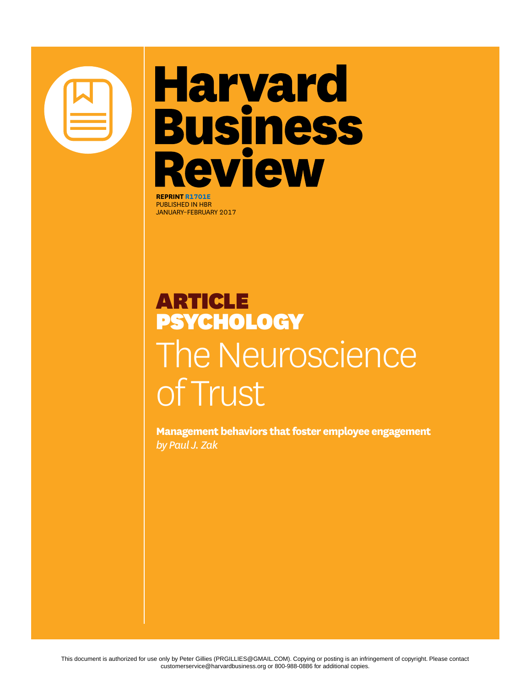

## **Harvard Business Review**

**REPRINT [R1701E](http://hbr.org/search/R1701E)** PUBLISHED IN HBR JANUARY–FEBRUARY 2017

### ARTICLE PSYCHOLOGY The Neuroscience of Trust

**Management behaviors that foster employee engagement** *by Paul J. Zak*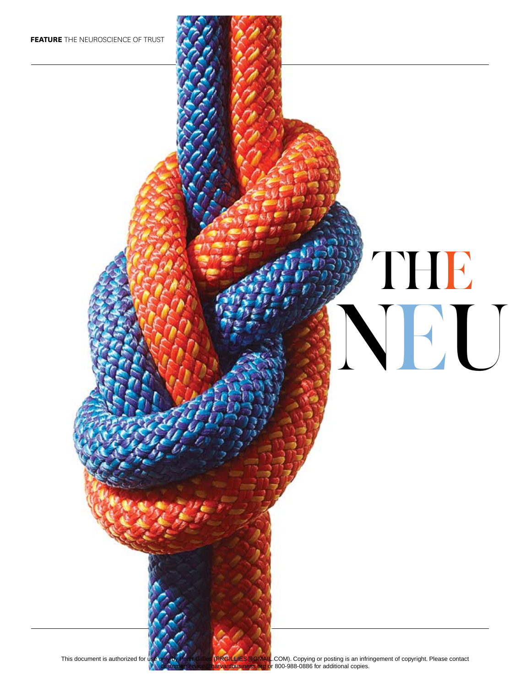# VE J  $\overline{a}$ THE

This document is authorized for use only by Peter Gillies (PRGILLIES@GMAIL.COM). Copying or posting is an infringement of copyright. Please contact customerservice@harvardbusiness.org or 800-988-0886 for additional copies.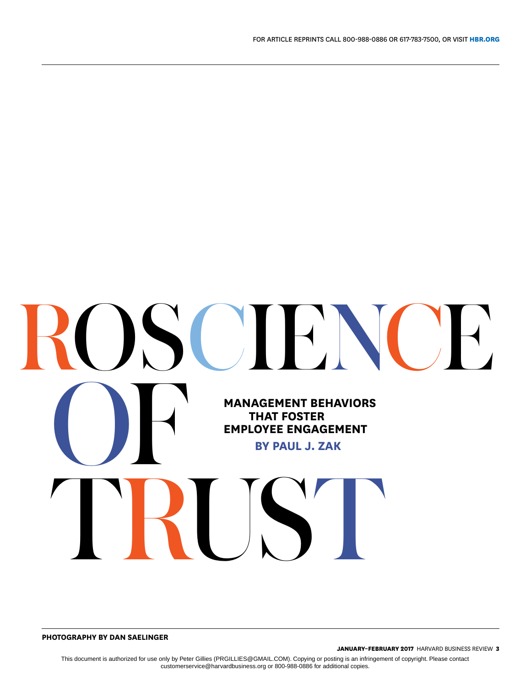

**PHOTOGRAPHY BY DAN SAELINGER**

**JANUARY–FEBRUARY 2017** HARVARD BUSINESS REVIEW **3**

This document is authorized for use only by Peter Gillies (PRGILLIES@GMAIL.COM). Copying or posting is an infringement of copyright. Please contact customerservice@harvardbusiness.org or 800-988-0886 for additional copies.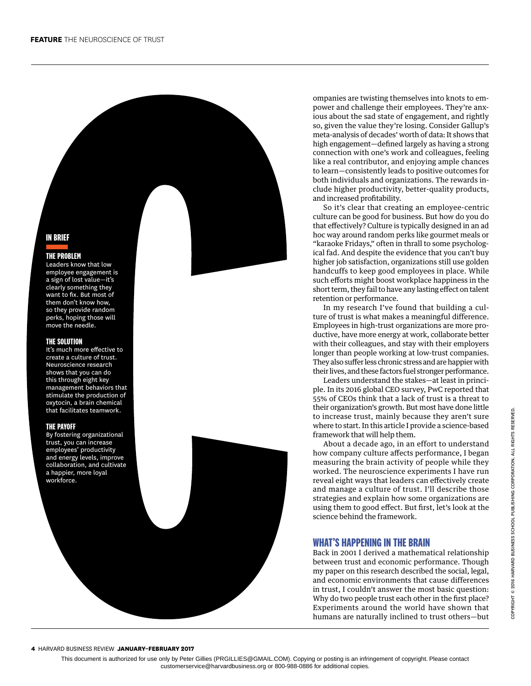#### **IN BRIEF**

#### **THE PROBLEM**

Leaders know that low employee engagement is a sign of lost value—it's clearly something they want to fix. But most of them don't know how, so they provide random perks, hoping those will move the needle.

#### **THE SOLUTION**

It's much more effective to create a culture of trust. Neuroscience research shows that you can do this through eight key management behaviors that stimulate the production of oxytocin, a brain chemical that facilitates teamwork.

#### **THE PAYOFF**

By fostering organizational trust, you can increase employees' productivity and energy levels, improve collaboration, and cultivate a happier, more loyal workforce.



ompanies are twisting themselves into knots to empower and challenge their employees. They're anxious about the sad state of engagement, and rightly so, given the value they're losing. Consider Gallup's meta-analysis of decades' worth of data: It shows that high engagement—defined largely as having a strong connection with one's work and colleagues, feeling like a real contributor, and enjoying ample chances to learn—consistently leads to positive outcomes for both individuals and organizations. The rewards include higher productivity, better-quality products, and increased profitability.

So it's clear that creating an employee-centric culture can be good for business. But how do you do that effectively? Culture is typically designed in an ad hoc way around random perks like gourmet meals or "karaoke Fridays," often in thrall to some psychological fad. And despite the evidence that you can't buy higher job satisfaction, organizations still use golden handcuffs to keep good employees in place. While such efforts might boost workplace happiness in the short term, they fail to have any lasting effect on talent retention or performance.

In my research I've found that building a culture of trust is what makes a meaningful difference. Employees in high-trust organizations are more productive, have more energy at work, collaborate better with their colleagues, and stay with their employers longer than people working at low-trust companies. They also suffer less chronic stress and are happier with their lives, and these factors fuel stronger performance.

Leaders understand the stakes—at least in principle. In its 2016 global CEO survey, PwC reported that 55% of CEOs think that a lack of trust is a threat to their organization's growth. But most have done little to increase trust, mainly because they aren't sure where to start. In this article I provide a science-based framework that will help them.

About a decade ago, in an effort to understand how company culture affects performance, I began measuring the brain activity of people while they worked. The neuroscience experiments I have run reveal eight ways that leaders can effectively create and manage a culture of trust. I'll describe those strategies and explain how some organizations are using them to good effect. But first, let's look at the science behind the framework.

#### **WHAT'S HAPPENING IN THE BRAIN**

Back in 2001 I derived a mathematical relationship between trust and economic performance. Though my paper on this research described the social, legal, and economic environments that cause differences in trust, I couldn't answer the most basic question: Why do two people trust each other in the first place? Experiments around the world have shown that humans are naturally inclined to trust others—but

**4** HARVARD BUSINESS REVIEW **JANUARY–FEBRUARY 2017**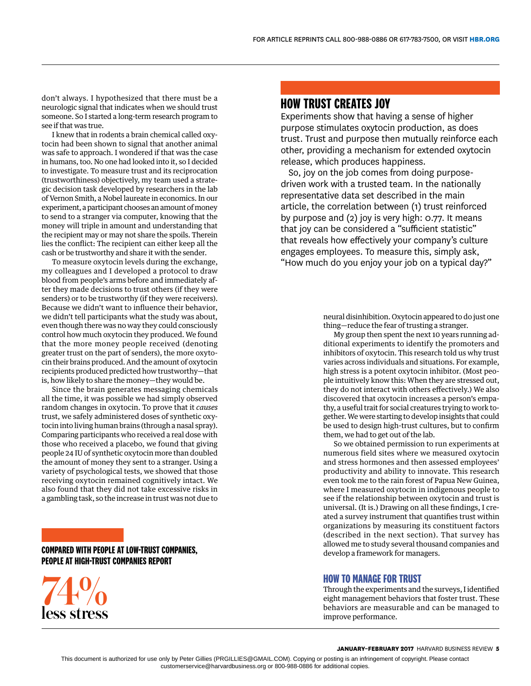don't always. I hypothesized that there must be a neurologic signal that indicates when we should trust someone. So I started a long-term research program to see if that was true.

I knew that in rodents a brain chemical called oxytocin had been shown to signal that another animal was safe to approach. I wondered if that was the case in humans, too. No one had looked into it, so I decided to investigate. To measure trust and its reciprocation (trustworthiness) objectively, my team used a strategic decision task developed by researchers in the lab of Vernon Smith, a Nobel laureate in economics. In our experiment, a participant chooses an amount of money to send to a stranger via computer, knowing that the money will triple in amount and understanding that the recipient may or may not share the spoils. Therein lies the conflict: The recipient can either keep all the cash or be trustworthy and share it with the sender.

To measure oxytocin levels during the exchange, my colleagues and I developed a protocol to draw blood from people's arms before and immediately after they made decisions to trust others (if they were senders) or to be trustworthy (if they were receivers). Because we didn't want to influence their behavior, we didn't tell participants what the study was about, even though there was no way they could consciously control how much oxytocin they produced. We found that the more money people received (denoting greater trust on the part of senders), the more oxytocin their brains produced. And the amount of oxytocin recipients produced predicted how trustworthy—that is, how likely to share the money—they would be.

Since the brain generates messaging chemicals all the time, it was possible we had simply observed random changes in oxytocin. To prove that it *causes* trust, we safely administered doses of synthetic oxytocin into living human brains (through a nasal spray). Comparing participants who received a real dose with those who received a placebo, we found that giving people 24 IU of synthetic oxytocin more than doubled the amount of money they sent to a stranger. Using a variety of psychological tests, we showed that those receiving oxytocin remained cognitively intact. We also found that they did not take excessive risks in a gambling task, so the increase in trust was not due to

#### **COMPARED WITH PEOPLE AT LOW-TRUST COMPANIES, PEOPLE AT HIGH-TRUST COMPANIES REPORT**



#### **HOW TRUST CREATES JOY**

Experiments show that having a sense of higher purpose stimulates oxytocin production, as does trust. Trust and purpose then mutually reinforce each other, providing a mechanism for extended oxytocin release, which produces happiness.

So, joy on the job comes from doing purposedriven work with a trusted team. In the nationally representative data set described in the main article, the correlation between (1) trust reinforced by purpose and (2) joy is very high: 0.77. It means that joy can be considered a "sufficient statistic" that reveals how effectively your company's culture engages employees. To measure this, simply ask, "How much do you enjoy your job on a typical day?"

> neural disinhibition. Oxytocin appeared to do just one thing—reduce the fear of trusting a stranger.

> My group then spent the next 10 years running additional experiments to identify the promoters and inhibitors of oxytocin. This research told us why trust varies across individuals and situations. For example, high stress is a potent oxytocin inhibitor. (Most people intuitively know this: When they are stressed out, they do not interact with others effectively.) We also discovered that oxytocin increases a person's empathy, a useful trait for social creatures trying to work together. We were starting to develop insights that could be used to design high-trust cultures, but to confirm them, we had to get out of the lab.

> So we obtained permission to run experiments at numerous field sites where we measured oxytocin and stress hormones and then assessed employees' productivity and ability to innovate. This research even took me to the rain forest of Papua New Guinea, where I measured oxytocin in indigenous people to see if the relationship between oxytocin and trust is universal. (It is.) Drawing on all these findings, I created a survey instrument that quantifies trust within organizations by measuring its constituent factors (described in the next section). That survey has allowed me to study several thousand companies and develop a framework for managers.

#### **HOW TO MANAGE FOR TRUST**

Through the experiments and the surveys, I identified eight management behaviors that foster trust. These behaviors are measurable and can be managed to improve performance.

#### **JANUARY–FEBRUARY 2017** HARVARD BUSINESS REVIEW **5**

This document is authorized for use only by Peter Gillies (PRGILLIES@GMAIL.COM). Copying or posting is an infringement of copyright. Please contact customerservice@harvardbusiness.org or 800-988-0886 for additional copies.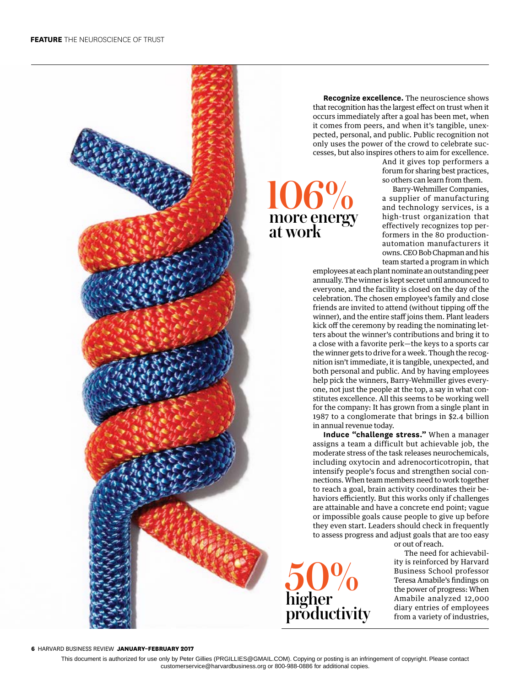**Recognize excellence.** The neuroscience shows that recognition has the largest effect on trust when it occurs immediately after a goal has been met, when it comes from peers, and when it's tangible, unexpected, personal, and public. Public recognition not only uses the power of the crowd to celebrate successes, but also inspires others to aim for excellence.

106% more energy at work

And it gives top performers a forum for sharing best practices, so others can learn from them.

Barry-Wehmiller Companies, a supplier of manufacturing and technology services, is a high-trust organization that effectively recognizes top performers in the 80 productionautomation manufacturers it owns. CEO Bob Chapman and his team started a program in which

employees at each plant nominate an outstanding peer annually. The winner is kept secret until announced to everyone, and the facility is closed on the day of the celebration. The chosen employee's family and close friends are invited to attend (without tipping off the winner), and the entire staff joins them. Plant leaders kick off the ceremony by reading the nominating letters about the winner's contributions and bring it to a close with a favorite perk—the keys to a sports car the winner gets to drive for a week. Though the recognition isn't immediate, it is tangible, unexpected, and both personal and public. And by having employees help pick the winners, Barry-Wehmiller gives everyone, not just the people at the top, a say in what constitutes excellence. All this seems to be working well for the company: It has grown from a single plant in 1987 to a conglomerate that brings in \$2.4 billion in annual revenue today.

**Induce "challenge stress."** When a manager assigns a team a difficult but achievable job, the moderate stress of the task releases neurochemicals, including oxytocin and adrenocorticotropin, that intensify people's focus and strengthen social connections. When team members need to work together to reach a goal, brain activity coordinates their behaviors efficiently. But this works only if challenges are attainable and have a concrete end point; vague or impossible goals cause people to give up before they even start. Leaders should check in frequently to assess progress and adjust goals that are too easy

 $50\%$ higher productivity or out of reach. The need for achievabil-

ity is reinforced by Harvard Business School professor Teresa Amabile's findings on the power of progress: When Amabile analyzed 12,000 diary entries of employees from a variety of industries,

#### **6** HARVARD BUSINESS REVIEW **JANUARY–FEBRUARY 2017**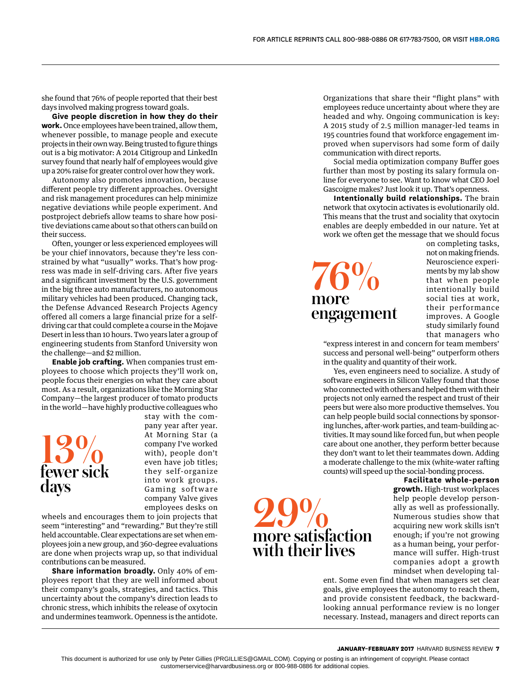she found that 76% of people reported that their best days involved making progress toward goals.

**Give people discretion in how they do their work.** Once employees have been trained, allow them, whenever possible, to manage people and execute projects in their own way. Being trusted to figure things out is a big motivator: A 2014 Citigroup and LinkedIn survey found that nearly half of employees would give up a 20% raise for greater control over how they work.

Autonomy also promotes innovation, because different people try different approaches. Oversight and risk management procedures can help minimize negative deviations while people experiment. And postproject debriefs allow teams to share how positive deviations came about so that others can build on their success.

Often, younger or less experienced employees will be your chief innovators, because they're less constrained by what "usually" works. That's how progress was made in self-driving cars. After five years and a significant investment by the U.S. government in the big three auto manufacturers, no autonomous military vehicles had been produced. Changing tack, the Defense Advanced Research Projects Agency offered all comers a large financial prize for a selfdriving car that could complete a course in the Mojave Desert in less than 10 hours. Two years later a group of engineering students from Stanford University won the challenge—and \$2 million.

**Enable job crafting.** When companies trust employees to choose which projects they'll work on, people focus their energies on what they care about most. As a result, organizations like the Morning Star Company—the largest producer of tomato products in the world—have highly productive colleagues who



stay with the company year after year. At Morning Star (a company I've worked with), people don't even have job titles; they self-organize into work groups. Gaming software company Valve gives employees desks on

wheels and encourages them to join projects that seem "interesting" and "rewarding." But they're still held accountable. Clear expectations are set when employees join a new group, and 360-degree evaluations are done when projects wrap up, so that individual contributions can be measured.

**Share information broadly.** Only 40% of employees report that they are well informed about their company's goals, strategies, and tactics. This uncertainty about the company's direction leads to chronic stress, which inhibits the release of oxytocin and undermines teamwork. Openness is the antidote.

Organizations that share their "flight plans" with employees reduce uncertainty about where they are headed and why. Ongoing communication is key: A 2015 study of 2.5 million manager-led teams in 195 countries found that workforce engagement improved when supervisors had some form of daily communication with direct reports.

Social media optimization company Buffer goes further than most by posting its salary formula online for everyone to see. Want to know what CEO Joel Gascoigne makes? Just look it up. That's openness.

**Intentionally build relationships.** The brain network that oxytocin activates is evolutionarily old. This means that the trust and sociality that oxytocin enables are deeply embedded in our nature. Yet at work we often get the message that we should focus

76% more engagement on completing tasks, not on making friends. Neuroscience experiments by my lab show that when people intentionally build social ties at work, their performance improves. A Google study similarly found that managers who

"express interest in and concern for team members' success and personal well-being" outperform others in the quality and quantity of their work.

Yes, even engineers need to socialize. A study of software engineers in Silicon Valley found that those who connected with others and helped them with their projects not only earned the respect and trust of their peers but were also more productive themselves. You can help people build social connections by sponsoring lunches, after-work parties, and team-building activities. It may sound like forced fun, but when people care about one another, they perform better because they don't want to let their teammates down. Adding a moderate challenge to the mix (white-water rafting counts) will speed up the social-bonding process.

> **Facilitate whole-person growth.** High-trust workplaces help people develop personally as well as professionally. Numerous studies show that acquiring new work skills isn't enough; if you're not growing as a human being, your performance will suffer. High-trust companies adopt a growth mindset when developing tal-

ent. Some even find that when managers set clear goals, give employees the autonomy to reach them, and provide consistent feedback, the backwardlooking annual performance review is no longer necessary. Instead, managers and direct reports can



**JANUARY–FEBRUARY 2017** HARVARD BUSINESS REVIEW **7**

This document is authorized for use only by Peter Gillies (PRGILLIES@GMAIL.COM). Copying or posting is an infringement of copyright. Please contact customerservice@harvardbusiness.org or 800-988-0886 for additional copies.